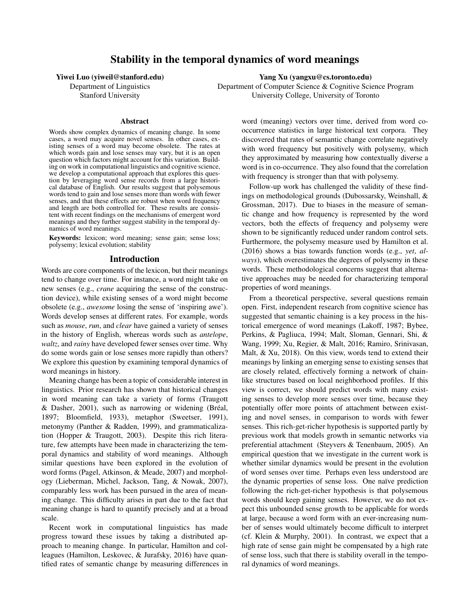# Stability in the temporal dynamics of word meanings

Yiwei Luo (yiweil@stanford.edu) Yang Xu (yangxu@cs.toronto.edu)

Department of Linguistics Department of Computer Science & Cognitive Science Program Stanford University University College, University of Toronto

#### Abstract

Words show complex dynamics of meaning change. In some cases, a word may acquire novel senses. In other cases, existing senses of a word may become obsolete. The rates at which words gain and lose senses may vary, but it is an open question which factors might account for this variation. Building on work in computational linguistics and cognitive science, we develop a computational approach that explores this question by leveraging word sense records from a large historical database of English. Our results suggest that polysemous words tend to gain and lose senses more than words with fewer senses, and that these effects are robust when word frequency and length are both controlled for. These results are consistent with recent findings on the mechanisms of emergent word meanings and they further suggest stability in the temporal dynamics of word meanings.

Keywords: lexicon; word meaning; sense gain; sense loss; polysemy; lexical evolution; stability

#### Introduction

Words are core components of the lexicon, but their meanings tend to change over time. For instance, a word might take on new senses (e.g., *crane* acquiring the sense of the construction device), while existing senses of a word might become obsolete (e.g., *awesome* losing the sense of 'inspiring awe'). Words develop senses at different rates. For example, words such as *mouse*, *run*, and *clear* have gained a variety of senses in the history of English, whereas words such as *antelope*, *waltz*, and *rainy* have developed fewer senses over time. Why do some words gain or lose senses more rapidly than others? We explore this question by examining temporal dynamics of word meanings in history.

Meaning change has been a topic of considerable interest in linguistics. Prior research has shown that historical changes in word meaning can take a variety of forms (Traugott & Dasher, 2001), such as narrowing or widening (Bréal, 1897; Bloomfield, 1933), metaphor (Sweetser, 1991), metonymy (Panther & Radden, 1999), and grammaticalization (Hopper & Traugott, 2003). Despite this rich literature, few attempts have been made in characterizing the temporal dynamics and stability of word meanings. Although similar questions have been explored in the evolution of word forms (Pagel, Atkinson, & Meade, 2007) and morphology (Lieberman, Michel, Jackson, Tang, & Nowak, 2007), comparably less work has been pursued in the area of meaning change. This difficulty arises in part due to the fact that meaning change is hard to quantify precisely and at a broad scale.

Recent work in computational linguistics has made progress toward these issues by taking a distributed approach to meaning change. In particular, Hamilton and colleagues (Hamilton, Leskovec, & Jurafsky, 2016) have quantified rates of semantic change by measuring differences in word (meaning) vectors over time, derived from word cooccurrence statistics in large historical text corpora. They discovered that rates of semantic change correlate negatively with word frequency but positively with polysemy, which they approximated by measuring how contextually diverse a word is in co-occurrence. They also found that the correlation with frequency is stronger than that with polysemy.

Follow-up work has challenged the validity of these findings on methodological grounds (Dubossarsky, Weinshall, & Grossman, 2017). Due to biases in the measure of semantic change and how frequency is represented by the word vectors, both the effects of frequency and polysemy were shown to be significantly reduced under random control sets. Furthermore, the polysemy measure used by Hamilton et al. (2016) shows a bias towards function words (e.g., *yet*, *always*), which overestimates the degrees of polysemy in these words. These methodological concerns suggest that alternative approaches may be needed for characterizing temporal properties of word meanings.

From a theoretical perspective, several questions remain open. First, independent research from cognitive science has suggested that semantic chaining is a key process in the historical emergence of word meanings (Lakoff, 1987; Bybee, Perkins, & Pagliuca, 1994; Malt, Sloman, Gennari, Shi, & Wang, 1999; Xu, Regier, & Malt, 2016; Ramiro, Srinivasan, Malt, & Xu, 2018). On this view, words tend to extend their meanings by linking an emerging sense to existing senses that are closely related, effectively forming a network of chainlike structures based on local neighborhood profiles. If this view is correct, we should predict words with many existing senses to develop more senses over time, because they potentially offer more points of attachment between existing and novel senses, in comparison to words with fewer senses. This rich-get-richer hypothesis is supported partly by previous work that models growth in semantic networks via preferential attachment (Steyvers & Tenenbaum, 2005). An empirical question that we investigate in the current work is whether similar dynamics would be present in the evolution of word senses over time. Perhaps even less understood are the dynamic properties of sense loss. One naïve prediction following the rich-get-richer hypothesis is that polysemous words should keep gaining senses. However, we do not expect this unbounded sense growth to be applicable for words at large, because a word form with an ever-increasing number of senses would ultimately become difficult to interpret (cf. Klein & Murphy, 2001). In contrast, we expect that a high rate of sense gain might be compensated by a high rate of sense loss, such that there is stability overall in the temporal dynamics of word meanings.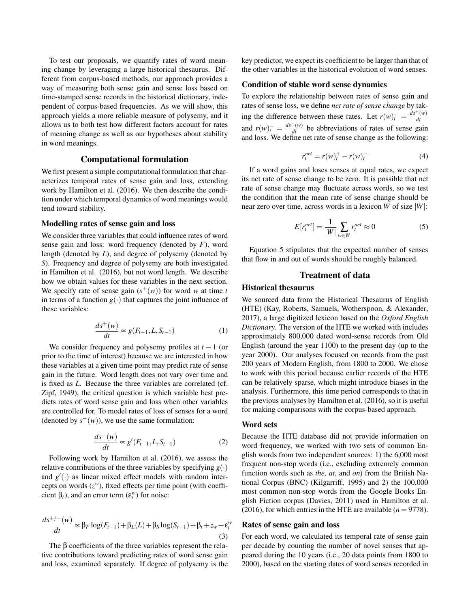To test our proposals, we quantify rates of word meaning change by leveraging a large historical thesaurus. Different from corpus-based methods, our approach provides a way of measuring both sense gain and sense loss based on time-stamped sense records in the historical dictionary, independent of corpus-based frequencies. As we will show, this approach yields a more reliable measure of polysemy, and it allows us to both test how different factors account for rates of meaning change as well as our hypotheses about stability in word meanings.

## Computational formulation

We first present a simple computational formulation that characterizes temporal rates of sense gain and loss, extending work by Hamilton et al. (2016). We then describe the condition under which temporal dynamics of word meanings would tend toward stability.

## Modelling rates of sense gain and loss

We consider three variables that could influence rates of word sense gain and loss: word frequency (denoted by *F*), word length (denoted by *L*), and degree of polysemy (denoted by *S*). Frequency and degree of polysemy are both investigated in Hamilton et al. (2016), but not word length. We describe how we obtain values for these variables in the next section. We specify rate of sense gain  $(s^+(w))$  for word *w* at time *t* in terms of a function  $g(\cdot)$  that captures the joint influence of these variables:

$$
\frac{ds^+(w)}{dt} \propto g(F_{t-1}, L, S_{t-1})
$$
\n(1)

We consider frequency and polysemy profiles at *t* − 1 (or prior to the time of interest) because we are interested in how these variables at a given time point may predict rate of sense gain in the future. Word length does not vary over time and is fixed as *L*. Because the three variables are correlated (cf. Zipf, 1949), the critical question is which variable best predicts rates of word sense gain and loss when other variables are controlled for. To model rates of loss of senses for a word (denoted by  $s^-(w)$ ), we use the same formulation:

$$
\frac{ds^-(w)}{dt} \propto g'(F_{t-1}, L, S_{t-1})
$$
 (2)

Following work by Hamilton et al. (2016), we assess the relative contributions of the three variables by specifying  $g(\cdot)$ and  $g'(\cdot)$  as linear mixed effect models with random intercepts on words  $(z^w)$ , fixed effects per time point (with coefficient  $\beta_t$ ), and an error term  $(\varepsilon_t^w)$  for noise:

$$
\frac{ds^{+/-}(w)}{dt} \propto \beta_F \log(F_{t-1}) + \beta_L(L) + \beta_S \log(S_{t-1}) + \beta_t + z_w + \varepsilon_t^w
$$
\n(3)

The  $\beta$  coefficients of the three variables represent the relative contributions toward predicting rates of word sense gain and loss, examined separately. If degree of polysemy is the key predictor, we expect its coefficient to be larger than that of the other variables in the historical evolution of word senses.

#### Condition of stable word sense dynamics

To explore the relationship between rates of sense gain and rates of sense loss, we define *net rate of sense change* by taking the difference between these rates. Let  $r(w)$ <sup>+</sup> =  $\frac{ds^+(w)}{dt}$ *dt* and  $r(w)$ <sup>-</sup> =  $\frac{ds^-(w)}{dt}$  be abbreviations of rates of sense gain and loss. We define net rate of sense change as the following:

$$
r_t^{net} = r(w)_t^+ - r(w)_t^- \tag{4}
$$

If a word gains and loses senses at equal rates, we expect its net rate of sense change to be zero. It is possible that net rate of sense change may fluctuate across words, so we test the condition that the mean rate of sense change should be near zero over time, across words in a lexicon *W* of size |*W*|:

$$
E[r_t^{net}] = \frac{1}{|W|} \sum_{w \in W} r_t^{net} \approx 0
$$
 (5)

Equation 5 stipulates that the expected number of senses that flow in and out of words should be roughly balanced.

## Treatment of data

## Historical thesaurus

We sourced data from the Historical Thesaurus of English (HTE) (Kay, Roberts, Samuels, Wotherspoon, & Alexander, 2017), a large digitized lexicon based on the *Oxford English Dictionary*. The version of the HTE we worked with includes approximately 800,000 dated word-sense records from Old English (around the year 1100) to the present day (up to the year 2000). Our analyses focused on records from the past 200 years of Modern English, from 1800 to 2000. We chose to work with this period because earlier records of the HTE can be relatively sparse, which might introduce biases in the analysis. Furthermore, this time period corresponds to that in the previous analyses by Hamilton et al. (2016), so it is useful for making comparisons with the corpus-based approach.

#### Word sets

Because the HTE database did not provide information on word frequency, we worked with two sets of common English words from two independent sources: 1) the 6,000 most frequent non-stop words (i.e., excluding extremely common function words such as *the*, *at*, and *on*) from the British National Corpus (BNC) (Kilgarriff, 1995) and 2) the 100,000 most common non-stop words from the Google Books English Fiction corpus (Davies, 2011) used in Hamilton et al. (2016), for which entries in the HTE are available  $(n = 9778)$ .

## Rates of sense gain and loss

For each word, we calculated its temporal rate of sense gain per decade by counting the number of novel senses that appeared during the 10 years (i.e., 20 data points from 1800 to 2000), based on the starting dates of word senses recorded in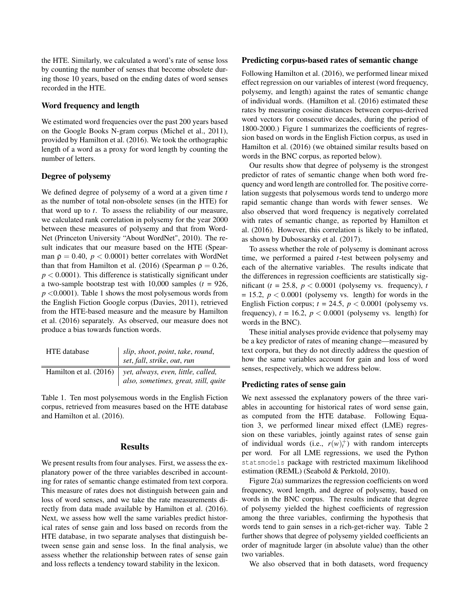the HTE. Similarly, we calculated a word's rate of sense loss by counting the number of senses that become obsolete during those 10 years, based on the ending dates of word senses recorded in the HTE.

#### Word frequency and length

We estimated word frequencies over the past 200 years based on the Google Books N-gram corpus (Michel et al., 2011), provided by Hamilton et al. (2016). We took the orthographic length of a word as a proxy for word length by counting the number of letters.

# Degree of polysemy

We defined degree of polysemy of a word at a given time *t* as the number of total non-obsolete senses (in the HTE) for that word up to *t*. To assess the reliability of our measure, we calculated rank correlation in polysemy for the year 2000 between these measures of polysemy and that from Word-Net (Princeton University "About WordNet", 2010). The result indicates that our measure based on the HTE (Spearman  $\rho = 0.40$ ,  $p < 0.0001$ ) better correlates with WordNet than that from Hamilton et al. (2016) (Spearman  $\rho = 0.26$ ,  $p < 0.0001$ ). This difference is statistically significant under a two-sample bootstrap test with  $10,000$  samples  $(t = 926,$ *p* <0.0001). Table 1 shows the most polysemous words from the English Fiction Google corpus (Davies, 2011), retrieved from the HTE-based measure and the measure by Hamilton et al. (2016) separately. As observed, our measure does not produce a bias towards function words.

| <b>HTE</b> database | slip, shoot, point, take, round,<br>set, fall, strike, out, run                                     |
|---------------------|-----------------------------------------------------------------------------------------------------|
|                     | Hamilton et al. (2016)   yet, always, even, little, called,<br>also, sometimes, great, still, quite |

Table 1. Ten most polysemous words in the English Fiction corpus, retrieved from measures based on the HTE database and Hamilton et al. (2016).

## **Results**

We present results from four analyses. First, we assess the explanatory power of the three variables described in accounting for rates of semantic change estimated from text corpora. This measure of rates does not distinguish between gain and loss of word senses, and we take the rate measurements directly from data made available by Hamilton et al. (2016). Next, we assess how well the same variables predict historical rates of sense gain and loss based on records from the HTE database, in two separate analyses that distinguish between sense gain and sense loss. In the final analysis, we assess whether the relationship between rates of sense gain and loss reflects a tendency toward stability in the lexicon.

#### Predicting corpus-based rates of semantic change

Following Hamilton et al. (2016), we performed linear mixed effect regression on our variables of interest (word frequency, polysemy, and length) against the rates of semantic change of individual words. (Hamilton et al. (2016) estimated these rates by measuring cosine distances between corpus-derived word vectors for consecutive decades, during the period of 1800-2000.) Figure 1 summarizes the coefficients of regression based on words in the English Fiction corpus, as used in Hamilton et al. (2016) (we obtained similar results based on words in the BNC corpus, as reported below).

Our results show that degree of polysemy is the strongest predictor of rates of semantic change when both word frequency and word length are controlled for. The positive correlation suggests that polysemous words tend to undergo more rapid semantic change than words with fewer senses. We also observed that word frequency is negatively correlated with rates of semantic change, as reported by Hamilton et al. (2016). However, this correlation is likely to be inflated, as shown by Dubossarsky et al. (2017).

To assess whether the role of polysemy is dominant across time, we performed a paired *t*-test between polysemy and each of the alternative variables. The results indicate that the differences in regression coefficients are statistically significant ( $t = 25.8$ ,  $p < 0.0001$  (polysemy vs. frequency),  $t$  $= 15.2, p < 0.0001$  (polysemy vs. length) for words in the English Fiction corpus;  $t = 24.5$ ,  $p < 0.0001$  (polysemy vs. frequency),  $t = 16.2$ ,  $p < 0.0001$  (polysemy vs. length) for words in the BNC).

These initial analyses provide evidence that polysemy may be a key predictor of rates of meaning change—measured by text corpora, but they do not directly address the question of how the same variables account for gain and loss of word senses, respectively, which we address below.

## Predicting rates of sense gain

We next assessed the explanatory powers of the three variables in accounting for historical rates of word sense gain, as computed from the HTE database. Following Equation 3, we performed linear mixed effect (LME) regression on these variables, jointly against rates of sense gain of individual words (i.e.,  $r(w)_t^+$ ) with random intercepts per word. For all LME regressions, we used the Python statsmodels package with restricted maximum likelihood estimation (REML) (Seabold & Perktold, 2010).

Figure 2(a) summarizes the regression coefficients on word frequency, word length, and degree of polysemy, based on words in the BNC corpus. The results indicate that degree of polysemy yielded the highest coefficients of regression among the three variables, confirming the hypothesis that words tend to gain senses in a rich-get-richer way. Table 2 further shows that degree of polysemy yielded coefficients an order of magnitude larger (in absolute value) than the other two variables.

We also observed that in both datasets, word frequency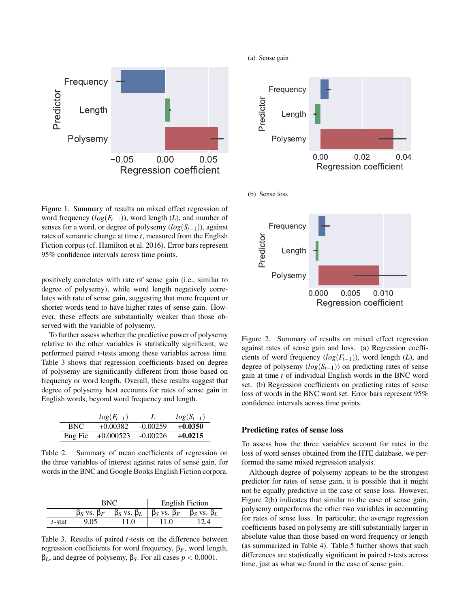

Figure 1. Summary of results on mixed effect regression of word frequency (*log*(*Ft*−1)), word length (*L*), and number of senses for a word, or degree of polysemy (*log*(*St*−1)), against rates of semantic change at time *t*, measured from the English Fiction corpus (cf. Hamilton et al. 2016). Error bars represent 95% confidence intervals across time points.

positively correlates with rate of sense gain (i.e., similar to degree of polysemy), while word length negatively correlates with rate of sense gain, suggesting that more frequent or shorter words tend to have higher rates of sense gain. However, these effects are substantially weaker than those observed with the variable of polysemy.

To further assess whether the predictive power of polysemy relative to the other variables is statistically significant, we performed paired *t*-tests among these variables across time. Table 3 shows that regression coefficients based on degree of polysemy are significantly different from those based on frequency or word length. Overall, these results suggest that degree of polysemy best accounts for rates of sense gain in English words, beyond word frequency and length.

|         | $log(F_{t-1})$ |            | $log(S_{t-1})$ |
|---------|----------------|------------|----------------|
| BNC.    | $+0.00382$     | $-0.00259$ | $+0.0350$      |
| Eng Fic | $+0.000523$    | $-0.00226$ | $+0.0215$      |

Table 2. Summary of mean coefficients of regression on the three variables of interest against rates of sense gain, for words in the BNC and Google Books English Fiction corpora.

|        | BNC                     |                         | <b>English Fiction</b>  |                         |
|--------|-------------------------|-------------------------|-------------------------|-------------------------|
|        | $\beta_S$ vs. $\beta_F$ | $\beta_S$ vs. $\beta_L$ | $\beta_S$ vs. $\beta_F$ | $\beta_S$ vs. $\beta_L$ |
| t-stat | 9.05                    | 11.0                    | 11.0                    | 12.4                    |

Table 3. Results of paired *t*-tests on the difference between regression coefficients for word frequency, β*F*, word length, β*L*, and degree of polysemy, β*S*. For all cases *p* < 0.0001.

(a) Sense gain



Regression coefficient

Figure 2. Summary of results on mixed effect regression against rates of sense gain and loss. (a) Regression coefficients of word frequency  $(log(F_{t-1}))$ , word length (*L*), and degree of polysemy (*log*(*St*−1)) on predicting rates of sense gain at time *t* of individual English words in the BNC word set. (b) Regression coefficients on predicting rates of sense loss of words in the BNC word set. Error bars represent 95% confidence intervals across time points.

## Predicting rates of sense loss

To assess how the three variables account for rates in the loss of word senses obtained from the HTE database, we performed the same mixed regression analysis.

Although degree of polysemy appears to be the strongest predictor for rates of sense gain, it is possible that it might not be equally predictive in the case of sense loss. However, Figure 2(b) indicates that similar to the case of sense gain, polysemy outperforms the other two variables in accounting for rates of sense loss. In particular, the average regression coefficients based on polysemy are still substantially larger in absolute value than those based on word frequency or length (as summarized in Table 4). Table 5 further shows that such differences are statistically significant in paired *t*-tests across time, just as what we found in the case of sense gain.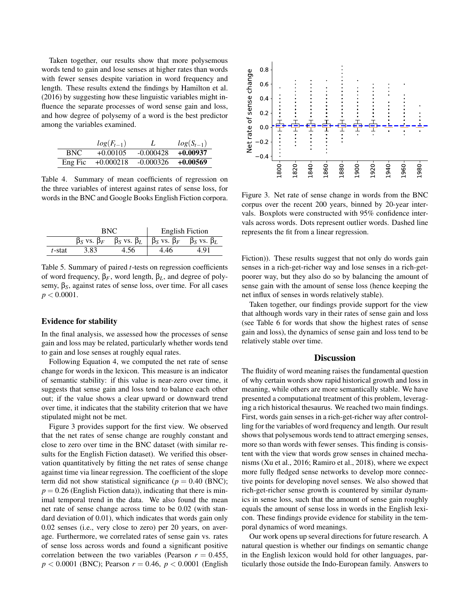Taken together, our results show that more polysemous words tend to gain and lose senses at higher rates than words with fewer senses despite variation in word frequency and length. These results extend the findings by Hamilton et al. (2016) by suggesting how these linguistic variables might influence the separate processes of word sense gain and loss, and how degree of polysemy of a word is the best predictor among the variables examined.

|         | $log(F_{t-1})$ |             | $log(S_{t-1})$ |
|---------|----------------|-------------|----------------|
| BNC.    | $+0.00105$     | $-0.000428$ | $+0.00937$     |
| Eng Fic | $+0.000218$    | $-0.000326$ | $+0.00569$     |

Table 4. Summary of mean coefficients of regression on the three variables of interest against rates of sense loss, for words in the BNC and Google Books English Fiction corpora.

|        | BNC                     |                         | <b>English Fiction</b>  |                         |
|--------|-------------------------|-------------------------|-------------------------|-------------------------|
|        | $\beta_S$ vs. $\beta_F$ | $\beta_S$ vs. $\beta_L$ | $\beta_S$ vs. $\beta_F$ | $\beta_S$ vs. $\beta_L$ |
| t-stat | 3.83                    | $+0.56$                 | I.46                    |                         |

Table 5. Summary of paired *t*-tests on regression coefficients of word frequency, β*F*, word length, β*L*, and degree of polysemy, β*S*, against rates of sense loss, over time. For all cases *p* < 0.0001.

#### Evidence for stability

In the final analysis, we assessed how the processes of sense gain and loss may be related, particularly whether words tend to gain and lose senses at roughly equal rates.

Following Equation 4, we computed the net rate of sense change for words in the lexicon. This measure is an indicator of semantic stability: if this value is near-zero over time, it suggests that sense gain and loss tend to balance each other out; if the value shows a clear upward or downward trend over time, it indicates that the stability criterion that we have stipulated might not be met.

Figure 3 provides support for the first view. We observed that the net rates of sense change are roughly constant and close to zero over time in the BNC dataset (with similar results for the English Fiction dataset). We verified this observation quantitatively by fitting the net rates of sense change against time via linear regression. The coefficient of the slope term did not show statistical significance ( $p = 0.40$  (BNC);  $p = 0.26$  (English Fiction data)), indicating that there is minimal temporal trend in the data. We also found the mean net rate of sense change across time to be 0.02 (with standard deviation of 0.01), which indicates that words gain only 0.02 senses (i.e., very close to zero) per 20 years, on average. Furthermore, we correlated rates of sense gain vs. rates of sense loss across words and found a significant positive correlation between the two variables (Pearson  $r = 0.455$ , *p* < 0.0001 (BNC); Pearson *r* = 0.46, *p* < 0.0001 (English 1-



Figure 3. Net rate of sense change in words from the BNC corpus over the recent 200 years, binned by 20-year intervals. Boxplots were constructed with 95% confidence intervals across words. Dots represent outlier words. Dashed line represents the fit from a linear regression.

Fiction)). These results suggest that not only do words gain senses in a rich-get-richer way and lose senses in a rich-getpoorer way, but they also do so by balancing the amount of sense gain with the amount of sense loss (hence keeping the net influx of senses in words relatively stable).

Taken together, our findings provide support for the view that although words vary in their rates of sense gain and loss (see Table 6 for words that show the highest rates of sense gain and loss), the dynamics of sense gain and loss tend to be relatively stable over time.

## **Discussion**

The fluidity of word meaning raises the fundamental question of why certain words show rapid historical growth and loss in meaning, while others are more semantically stable. We have presented a computational treatment of this problem, leveraging a rich historical thesaurus. We reached two main findings. First, words gain senses in a rich-get-richer way after controlling for the variables of word frequency and length. Our result shows that polysemous words tend to attract emerging senses, more so than words with fewer senses. This finding is consistent with the view that words grow senses in chained mechanisms (Xu et al., 2016; Ramiro et al., 2018), where we expect more fully fledged sense networks to develop more connective points for developing novel senses. We also showed that rich-get-richer sense growth is countered by similar dynamics in sense loss, such that the amount of sense gain roughly equals the amount of sense loss in words in the English lexicon. These findings provide evidence for stability in the temporal dynamics of word meanings.

Our work opens up several directions for future research. A natural question is whether our findings on semantic change in the English lexicon would hold for other languages, particularly those outside the Indo-European family. Answers to